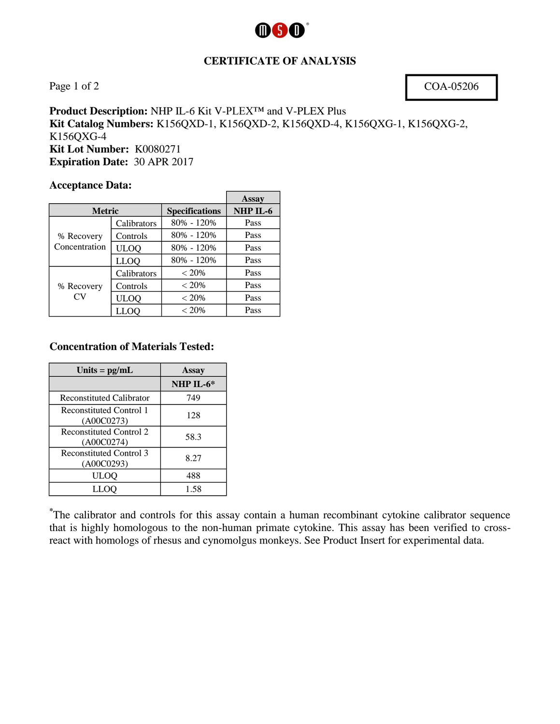

### **CERTIFICATE OF ANALYSIS**

Page 1 of 2 COA-05206

**Product Description:** NHP IL-6 Kit V-PLEX™ and V-PLEX Plus **Kit Catalog Numbers:** K156QXD-1, K156QXD-2, K156QXD-4, K156QXG-1, K156QXG-2, K156QXG-4 **Kit Lot Number:** K0080271 **Expiration Date:** 30 APR 2017

 $\blacksquare$ 

#### **Acceptance Data:**

|                             |             |                       | Assay    |
|-----------------------------|-------------|-----------------------|----------|
| <b>Metric</b>               |             | <b>Specifications</b> | NHP IL-6 |
| % Recovery<br>Concentration | Calibrators | 80% - 120%            | Pass     |
|                             | Controls    | 80% - 120%            | Pass     |
|                             | <b>ULOQ</b> | 80% - 120%            | Pass     |
|                             | <b>LLOQ</b> | 80% - 120%            | Pass     |
| % Recovery<br>CV            | Calibrators | $< 20\%$              | Pass     |
|                             | Controls    | $< 20\%$              | Pass     |
|                             | <b>ULOQ</b> | $< 20\%$              | Pass     |
|                             | LLOO        | $< 20\%$              | Pass     |

#### **Concentration of Materials Tested:**

| Units = $pg/mL$                              | Assay     |  |
|----------------------------------------------|-----------|--|
|                                              | NHP IL-6* |  |
| <b>Reconstituted Calibrator</b>              | 749       |  |
| <b>Reconstituted Control 1</b><br>(A00C0273) | 128       |  |
| <b>Reconstituted Control 2</b><br>(A00C0274) | 58.3      |  |
| <b>Reconstituted Control 3</b><br>(A00C0293) | 8.27      |  |
| ULOQ                                         | 488       |  |
| LLOO                                         | 1.58      |  |

**\*** The calibrator and controls for this assay contain a human recombinant cytokine calibrator sequence that is highly homologous to the non-human primate cytokine. This assay has been verified to crossreact with homologs of rhesus and cynomolgus monkeys. See Product Insert for experimental data.